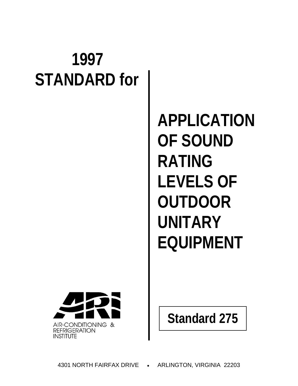# **1997 STANDARD for**

**APPLICATION OF SOUND RATING LEVELS OF OUTDOOR UNITARY EQUIPMENT**



**Standard 275**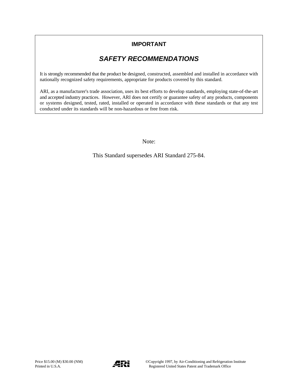### **IMPORTANT**

### *SAFETY RECOMMENDATIONS*

It is strongly recommended that the product be designed, constructed, assembled and installed in accordance with nationally recognized safety requirements, appropriate for products covered by this standard.

ARI, as a manufacturer's trade association, uses its best efforts to develop standards, employing state-of-the-art and accepted industry practices. However, ARI does not certify or guarantee safety of any products, components or systems designed, tested, rated, installed or operated in accordance with these standards or that any test conducted under its standards will be non-hazardous or free from risk.

Note:

This Standard supersedes ARI Standard 275-84.

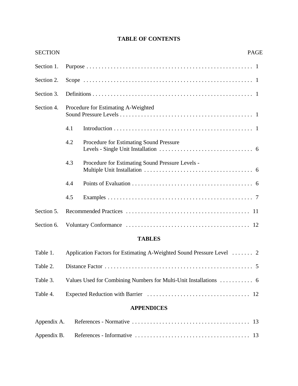| <b>SECTION</b> |     |                                                                       | <b>PAGE</b> |
|----------------|-----|-----------------------------------------------------------------------|-------------|
| Section 1.     |     |                                                                       |             |
| Section 2.     |     |                                                                       |             |
| Section 3.     |     |                                                                       |             |
| Section 4.     |     | Procedure for Estimating A-Weighted                                   |             |
|                | 4.1 |                                                                       |             |
|                | 4.2 | Procedure for Estimating Sound Pressure                               |             |
|                | 4.3 | Procedure for Estimating Sound Pressure Levels -                      |             |
|                | 4.4 |                                                                       |             |
|                | 4.5 |                                                                       |             |
| Section 5.     |     |                                                                       |             |
| Section 6.     |     |                                                                       |             |
|                |     | <b>TABLES</b>                                                         |             |
| Table 1.       |     | Application Factors for Estimating A-Weighted Sound Pressure Level  2 |             |
| Table 2.       |     |                                                                       |             |

### **TABLE OF CONTENTS**

## Table 4. Expected Reduction with Barrier .................................. 12

Table 3. Values Used for Combining Numbers for Multi-Unit Installations ........... 6

### **APPENDICES**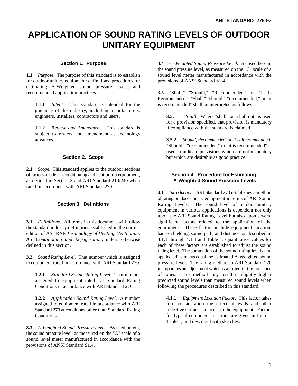### **APPLICATION OF SOUND RATING LEVELS OF OUTDOOR UNITARY EQUIPMENT**

#### **Section 1. Purpose**

for outdoor unitary equipment: definitions, procedures for provisions of ANSI Standard S1.4. estimating A-Weighted sound pressure levels, and recommended application practices.

**1.1.1** *Intent*. This standard is intended for the is recommended" shall be interpreted as follows: guidance of the industry, including manufacturers, engineers, installers, contractors and users.

**1.1.2** *Review and Amendment*. This standard is if compliance with the standard is claimed. subject to review and amendment as technology advances.

#### **Section 2. Scope**

**2.1** *Scope*. This standard applies to the outdoor sections of factory-made air-conditioning and heat pump equipment, **Section 4. Procedure for Estimating**  as defined in Section 3 and ARI Standard 210/240 when **A-Weighted Sound Pressure Levels** rated in accordance with ARI Standard 270.

#### **Section 3. Definitions**

the standard industry definitions established in the current equipment. These factors include equipment location, edition of ASHRAE Terminology of Heating, Ventilation, barrier shielding, sound path, and distance, as descr edition of ASHRAE *Terminology of Heating, Ventilation, Air Conditioning and Refrigeration*, unless otherwise 4.1.1 through 4.1.4 and Table 1. Quantitative values for defined in this section. each of these factors are established to adjust the sound

**3.2** *Sound Rating Level*. That number which is assigned to equipment rated in accordance with ARI Standard 270.

**3.2.1** *Standard Sound Rating Level*. That number assigned to equipment rated at Standard Rating Conditions in accordance with ARI Standard 270.

**3.2.2** *Application Sound Rating Level*. A number assigned to equipment rated in accordance with ARI Standard 270 at conditions other than Standard Rating Conditions.

**3.3** *A-Weighted Sound Pressure Level*. As used herein, the sound pressure level, as measured on the "A" scale of a sound level meter manufactured in accordance with the provisions of ANSI Standard S1.4.

**1.1** *Purpose*. The purpose of this standard is to establish sound level meter manufactured in accordance with the **3.4** *C-Weighted Sound Pressure Level*. As used herein, the sound pressure level, as measured on the "C" scale of a

> **3.5** "Shall," "Should," "Recommended," or "It Is Recommended." "Shall," "should," "recommended," or "it

**3.5.1** *Shall*. Where "shall" or "shall not" is used for a provision specified, that provision is mandatory

**3.5.2** *Should, Recommended, or It Is Recommended*. "Should," "recommended," or "it is recommended" is used to indicate provisions which are not mandatory but which are desirable as good practice.

**3.1** *Definitions*. All terms in this document will follow significant factors related to the application of the **4.1** *Introduction*. ARI Standard 270 establishes a method of rating outdoor unitary equipment in terms of ARI Sound Rating Levels. The sound level of outdoor unitary equipment in various applications is dependent not only upon the ARI Sound Rating Level but also upon several rating level. The summation of the sound rating levels and applied adjustments equal the estimated A-Weighted sound pressure level. The rating method in ARI Standard 270 incorporates an adjustment which is applied in the presence of tones. This method may result in slightly higher predicted sound levels than measured sound levels when following the procedures described in this standard.

> **4.1.1** *Equipment Location Factor*. This factor takes into consideration the effect of walls and other reflective surfaces adjacent to the equipment. Factors for typical equipment locations are given in Item 1, Table 1, and described with sketches.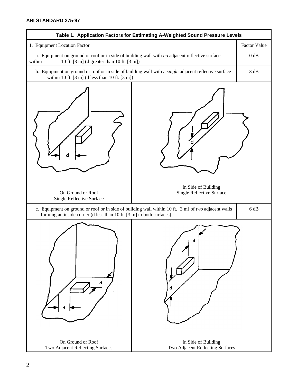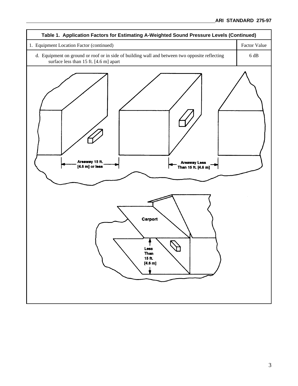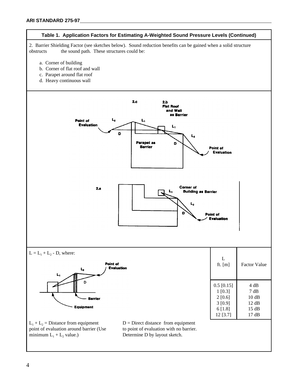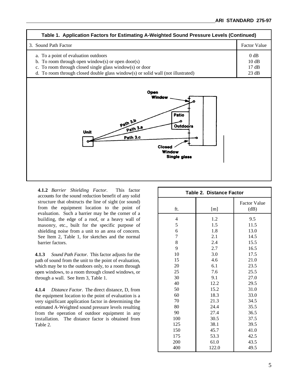

**4.1.2** *Barrier Shielding Factor*. This factor accounts for the sound reduction benefit of any solid structure that obstructs the line of sight (or sound) from the equipment location to the point of evaluation. Such a barrier may be the corner of a building, the edge of a roof, or a heavy wall of masonry, etc., built for the specific purpose of shielding noise from a unit to an area of concern. See Item 2, Table 1, for sketches and the normal barrier factors.

**4.1.3** *Sound Path Factor*. This factor adjusts for the path of sound from the unit to the point of evaluation, which may be to the outdoors only, to a room through open windows, to a room through closed windows, or through a wall. See Item 3, Table 1.

**4.1.4** *Distance Factor*. The direct distance, D, from the equipment location to the point of evaluation is a very significant application factor in determining the estimated A-Weighted sound pressure levels resulting from the operation of outdoor equipment in any installation. The distance factor is obtained from Table 2.

| Table 2. Distance Factor |       |                             |  |  |  |
|--------------------------|-------|-----------------------------|--|--|--|
| ft.                      | [m]   | <b>Factor Value</b><br>(dB) |  |  |  |
| 4                        | 1.2   | 9.5                         |  |  |  |
| 5                        | 1.5   | 11.5                        |  |  |  |
| 6                        | 1.8   | 13.0                        |  |  |  |
| $\overline{7}$           | 2.1   | 14.5                        |  |  |  |
| 8                        | 2.4   | 15.5                        |  |  |  |
| 9                        | 2.7   | 16.5                        |  |  |  |
| 10                       | 3.0   | 17.5                        |  |  |  |
| 15                       | 4.6   | 21.0                        |  |  |  |
| 20                       | 6.1   | 23.5                        |  |  |  |
| 25                       | 7.6   | 25.5                        |  |  |  |
| 30                       | 9.1   | 27.0                        |  |  |  |
| 40                       | 12.2  | 29.5                        |  |  |  |
| 50                       | 15.2  | 31.0                        |  |  |  |
| 60                       | 18.3  | 33.0                        |  |  |  |
| 70                       | 21.3  | 34.5                        |  |  |  |
| 80                       | 24.4  | 35.5                        |  |  |  |
| 90                       | 27.4  | 36.5                        |  |  |  |
| 100                      | 30.5  | 37.5                        |  |  |  |
| 125                      | 38.1  | 39.5                        |  |  |  |
| 150                      | 45.7  | 41.0                        |  |  |  |
| 175                      | 53.3  | 42.5                        |  |  |  |
| 200                      | 61.0  | 43.5                        |  |  |  |
| 400                      | 122.0 | 49.5                        |  |  |  |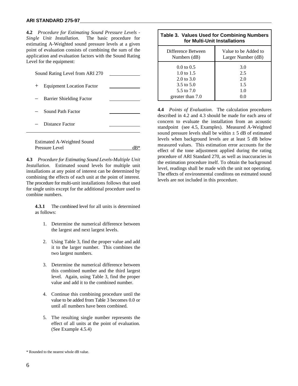#### **ARI STANDARD 275-97**

**4.2** *Procedure for Estimating Sound Pressure Levels - Single Unit Installation*. The basic procedure for estimating A-Weighted sound pressure levels at a given point of evaluation consists of combining the sum of the application and evaluation factors with the Sound Rating Level for the equipment:

| Sound Rating Level from ARI 270 |                                  |  |  |  |  |
|---------------------------------|----------------------------------|--|--|--|--|
| $+$                             | <b>Equipment Location Factor</b> |  |  |  |  |
|                                 | Barrier Shielding Factor         |  |  |  |  |
|                                 | Sound Path Factor                |  |  |  |  |
| Distance Factor                 |                                  |  |  |  |  |
|                                 | Estimated A Weighted Sound       |  |  |  |  |

Estimated A-Weighted Sound Pressure Level dB\*

**4.3** *Procedure for Estimating Sound Levels-Multiple Unit Installation*. Estimated sound levels for multiple unit installations at any point of interest can be determined by combining the effects of each unit at the point of interest. The procedure for multi-unit installations follows that used for single units except for the additional procedure used to combine numbers.

**4.3.1** The combined level for all units is determined as follows:

- 1. Determine the numerical difference between the largest and next largest levels.
- 2. Using Table 3, find the proper value and add it to the larger number. This combines the two largest numbers.
- 3. Determine the numerical difference between this combined number and the third largest level. Again, using Table 3, find the proper value and add it to the combined number.
- 4. Continue this combining procedure until the value to be added from Table 3 becomes 0.0 or until all numbers have been combined.
- 5. The resulting single number represents the effect of all units at the point of evaluation. (See Example 4.5.4)

| <b>Table 3. Values Used for Combining Numbers</b><br>for Multi-Unit Installations |                      |  |  |  |
|-----------------------------------------------------------------------------------|----------------------|--|--|--|
| Difference Between                                                                | Value to be Added to |  |  |  |
| Numbers (dB)                                                                      | Larger Number (dB)   |  |  |  |
| $0.0 \text{ to } 0.5$                                                             | 3.0                  |  |  |  |
| 1.0 to 1.5                                                                        | 2.5                  |  |  |  |
| $2.0 \text{ to } 3.0$                                                             | 2.0                  |  |  |  |
| 3.5 to 5.0                                                                        | 1.5                  |  |  |  |
| 5.5 to 7.0                                                                        | 1.0                  |  |  |  |
| greater than 7.0                                                                  | (0.0)                |  |  |  |

**4.4** *Points of Evaluation*. The calculation procedures described in 4.2 and 4.3 should be made for each area of concern to evaluate the installation from an acoustic standpoint (see 4.5, Examples). Measured A-Weighted sound pressure levels shall be within  $\pm$  5 dB of estimated levels when background levels are at least 5 dB below measured values. This estimation error accounts for the effect of the tone adjustment applied during the rating procedure of ARI Standard 270, as well as inaccuracies in the estimation procedure itself. To obtain the background level, readings shall be made with the unit not operating. The effects of environmental conditons on estmated sound levels are not included in this procedure.

 $\overline{a}$ 

<sup>\*</sup> Rounded to the nearest whole dB value.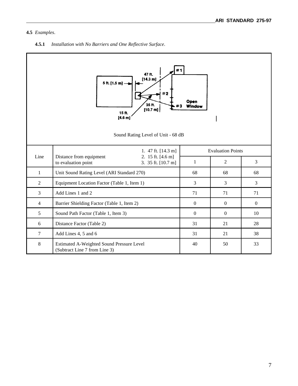#### **4.5** *Examples*.

**4.5.1** *Installation with No Barriers and One Reflective Surface*.

| #1<br>47 ft.<br>[14.3 m]<br>5 ft. [1.5 m]<br>#2<br>Open<br>35 ft.<br>Window<br>$[10.7 \text{ m}]$<br>15 ft.<br>[4.6 m]<br>Sound Rating Level of Unit - 68 dB |                                                                                           |                          |                |                  |  |  |
|--------------------------------------------------------------------------------------------------------------------------------------------------------------|-------------------------------------------------------------------------------------------|--------------------------|----------------|------------------|--|--|
|                                                                                                                                                              | 1. 47 ft. $[14.3 \text{ m}]$                                                              | <b>Evaluation Points</b> |                |                  |  |  |
| Line                                                                                                                                                         | 2. 15 ft. [4.6 m]<br>Distance from equipment<br>to evaluation point<br>3. 35 ft. [10.7 m] | $\mathbf{1}$             | $\overline{2}$ | 3                |  |  |
| $\mathbf{1}$                                                                                                                                                 | Unit Sound Rating Level (ARI Standard 270)                                                | 68                       | 68             | 68               |  |  |
| $\overline{2}$                                                                                                                                               | Equipment Location Factor (Table 1, Item 1)                                               | 3                        | 3              | 3                |  |  |
| $\overline{3}$                                                                                                                                               | Add Lines 1 and 2                                                                         | 71                       | 71             | 71               |  |  |
| $\overline{4}$                                                                                                                                               | Barrier Shielding Factor (Table 1, Item 2)                                                | $\boldsymbol{0}$         | $\mathbf{0}$   | $\boldsymbol{0}$ |  |  |
| 5                                                                                                                                                            | Sound Path Factor (Table 1, Item 3)                                                       | $\mathbf{0}$             | $\mathbf{0}$   | 10               |  |  |
| 6                                                                                                                                                            | Distance Factor (Table 2)                                                                 | 31                       | 21             | 28               |  |  |
| $\overline{7}$                                                                                                                                               | Add Lines 4, 5 and 6                                                                      | 31                       | 21             | 38               |  |  |
| $\,8\,$                                                                                                                                                      | Estimated A-Weighted Sound Pressure Level<br>(Subtract Line 7 from Line 3)                | 40                       | 50             | 33               |  |  |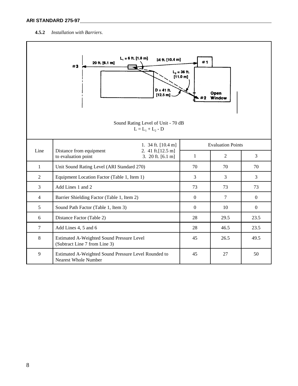#### **ARI STANDARD 275-97**

#### **4.5.2** *Installation with Barriers*.

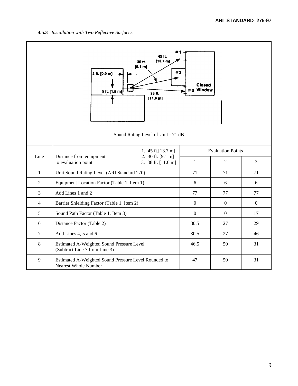**4.5.3** *Installation with Two Reflective Surfaces.*

| #1<br>45 ft.<br>[13.7 m]<br>30 ft.<br>[9.1 m]<br>#2<br>3 ft. [0.9 m]<br><b>Closed</b><br>#3 Window<br>5 ft. [1.5 m]<br>38 ft.<br>[11.6 m]<br>Sound Rating Level of Unit - 71 dB |                                                                                           |                          |                |              |  |  |
|---------------------------------------------------------------------------------------------------------------------------------------------------------------------------------|-------------------------------------------------------------------------------------------|--------------------------|----------------|--------------|--|--|
|                                                                                                                                                                                 | 1. $45$ ft. [13.7 m]                                                                      | <b>Evaluation Points</b> |                |              |  |  |
| Line                                                                                                                                                                            | Distance from equipment<br>2. 30 ft. [9.1 m]<br>to evaluation point<br>3. 38 ft. [11.6 m] | $\mathbf{1}$             | $\overline{2}$ | 3            |  |  |
| $\mathbf{1}$                                                                                                                                                                    | Unit Sound Rating Level (ARI Standard 270)                                                | 71                       | 71             | 71           |  |  |
| $\overline{2}$                                                                                                                                                                  | Equipment Location Factor (Table 1, Item 1)                                               | 6                        | 6              | 6            |  |  |
| $\overline{3}$                                                                                                                                                                  | Add Lines 1 and 2                                                                         | 77                       | 77             | 77           |  |  |
| $\overline{4}$                                                                                                                                                                  | Barrier Shielding Factor (Table 1, Item 2)                                                | $\mathbf{0}$             | $\mathbf{0}$   | $\mathbf{0}$ |  |  |
| 5                                                                                                                                                                               | Sound Path Factor (Table 1, Item 3)                                                       | $\mathbf{0}$             | $\overline{0}$ | 17           |  |  |
| 6                                                                                                                                                                               | Distance Factor (Table 2)                                                                 | 30.5                     | 27             | 29           |  |  |
| $\overline{7}$                                                                                                                                                                  | Add Lines 4, 5 and 6                                                                      | 30.5                     | 27             | 46           |  |  |
| 8                                                                                                                                                                               | Estimated A-Weighted Sound Pressure Level<br>(Subtract Line 7 from Line 3)                | 46.5                     | 50             | 31           |  |  |
| 9                                                                                                                                                                               | Estimated A-Weighted Sound Pressure Level Rounded to<br>Nearest Whole Number              | 47                       | 50             | 31           |  |  |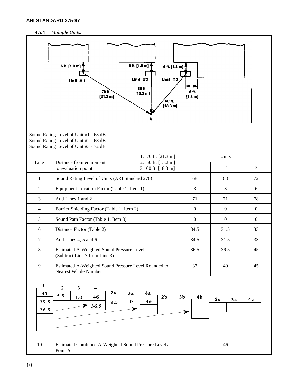#### **4.5.4** *Multiple Units.*

|                                    | 6 ft. [1.8 m]<br>6 ft. [1.8 m]<br>6 ft. [1.8 m]<br>Unit $#3$<br>Unit $#2$<br>Unit $#1$<br>50 ft.<br>70 ft.<br>[15.2 m]<br>[21.3 m]<br>60 ft.<br>[18.3 m] | 6 ft.<br>$[1.8 \; m]$                 |                      |                |
|------------------------------------|----------------------------------------------------------------------------------------------------------------------------------------------------------|---------------------------------------|----------------------|----------------|
|                                    | Sound Rating Level of Unit #1 - 68 dB<br>Sound Rating Level of Unit #2 - 68 dB<br>Sound Rating Level of Unit #3 - 72 dB                                  |                                       |                      |                |
| Line                               | 1. 70 ft. [21.3 m]<br>Distance from equipment<br>2. 50 ft. [15.2 m]                                                                                      |                                       | Units                |                |
|                                    | to evaluation point<br>3. 60 ft. [18.3 m]                                                                                                                | $\mathbf{1}$                          | $\overline{2}$       | $\mathfrak{Z}$ |
| $\mathbf{1}$                       | Sound Rating Level of Units (ARI Standard 270)                                                                                                           | 68                                    | 68                   | 72             |
| $\overline{2}$                     | Equipment Location Factor (Table 1, Item 1)                                                                                                              | $\overline{3}$                        | $\mathfrak{Z}$       | 6              |
| $\overline{3}$                     | Add Lines 1 and 2                                                                                                                                        | 71                                    | 71                   | 78             |
| $\overline{4}$                     | Barrier Shielding Factor (Table 1, Item 2)                                                                                                               | $\boldsymbol{0}$                      | $\boldsymbol{0}$     | $\mathbf{0}$   |
| 5                                  | Sound Path Factor (Table 1, Item 3)                                                                                                                      | $\boldsymbol{0}$                      | $\boldsymbol{0}$     | $\overline{0}$ |
| 6                                  | Distance Factor (Table 2)                                                                                                                                | 34.5                                  | 31.5                 | 33             |
| $\overline{7}$                     | Add Lines 4, 5 and 6                                                                                                                                     | 34.5                                  | 31.5                 | 33             |
| $8\,$                              | Estimated A-Weighted Sound Pressure Level<br>(Subtract Line 7 from Line 3)                                                                               | 36.5                                  | 39.5                 | 45             |
| 9                                  | Estimated A-Weighted Sound Pressure Level Rounded to<br>Nearest Whole Number                                                                             | 37                                    | 40                   | 45             |
| $\mathbf{1}$<br>45<br>39.5<br>36.5 | $\mathbf 2$<br>3<br>$\overline{\mathbf{4}}$<br>2a<br>4a<br>3a<br>5.5<br>2 <sub>b</sub><br>46<br>1.0<br>$\mathbf{O}$<br>46<br>9.5<br>36.5<br>➤            | 3 <sub>b</sub><br>4 <sub>b</sub><br>➤ | 2 <sub>c</sub><br>3c | 4 <sub>c</sub> |
| 10                                 | Estimated Combined A-Weighted Sound Pressure Level at<br>Point A                                                                                         |                                       | 46                   |                |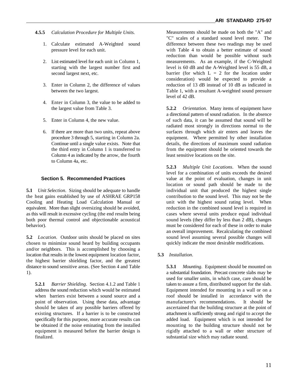- **4.5.5** *Calculation Procedure for Multiple Units.*
	- 1. Calculate estimated A-Weighted sound pressure level for each unit.
	- 2. List estimated level for each unit in Column 1, starting with the largest number first and second largest next, etc.
	- 3. Enter in Column 2, the difference of values between the two largest.
	- 4. Enter in Column 3, the value to be added to
	-
	- Column 4 as indicated by the arrow, the fourth least sensitive locations on the site. to Column 4a, etc.

#### **Section 5. Recommended Practices**

**5.1** *Unit Selection*. Sizing should be adequate to handle individual unit that produced the highest single the heat gains established by use of ASHRAE GRP158 contribution to the sound level. This may not be the the heat gains established by use of ASHRAE GRP158 Cooling and Heating Load Calculation Manual or unit with the highest sound rating level. When equivalent. More than slight oversizing should be avoided, reduction in the combined sound level is required in as this will result in excessive cycling (the end results being cases where several units produce equal individual both poor thermal control and objectionable acoustical sound levels (they differ by less than 2 dB), changes behavior). must be considered for each of these in order to make

**5.2** *Location*. Outdoor units should be placed on sites chosen to minimize sound heard by building occupants and/or neighbors. This is accomplished by choosing a location that results in the lowest equipment location factor, **5.3** *Installation*. the highest barrier shielding factor, and the greatest distance to sound sensitive areas. (See Section 4 and Table 1).

**5.2.1** *Barrier Shielding*. Section 4.1.2 and Table 1 taken to assure a firm, distributed support for the slab. address the sound reduction which would be estimated Equipment intended for mounting in a wall or on a when barriers exist between a sound source and a roof should be installed in accordance with the point of observation. Using these data, advantage manufacturer's recommendations. It should be should be taken of any possible barriers offered by ascertained that the building structure at the point of existing structures. If a barrier is to be constructed attachment is sufficiently strong and rigid to accept the specifically for this purpose, more accurate results can added load. Equipment which is not intended for be obtained if the noise eminating from the installed mounting to the building structure should not be equipment is measured before the barrier design is rigidly attached to a wall or other structure of finalized. substantial size which may radiate sound.

Measurements should be made on both the "A" and "C" scales of a standard sound level meter. The difference between these two readings may be used with Table 4 to obtain a better estimate of sound reduction than would be possible without such measurements. As an example, if the C-Weighted level is 60 dB and the A-Weighted level is 55 dB, a barrier (for which  $L = 2$  for the location under consideration) would be expected to provide a reduction of 13 dB instead of 10 dB as indicated in Table 1, with a resultant A-weighted sound pressure level of 42 dB.

the largest value from Table 3. **5.2.2** *Orientation*. Many items of equipment have 5. Enter in Column 4, the new value. of such data, it can be assumed that sound will be 6. If there are more than two units, repeat above surfaces through which air enters and leaves the procedure 3 through 5, starting in Column 2a. equipment. Where permitted by other installation Continue until a single value exists. Note that details, the directions of maximum sound radiation the third entry in Column 1 is transferred to from the equipment should be oriented towards the a directional pattern of sound radiation. In the absence radiated most strongly in directions normal to the

> **5.2.3** *Multiple Unit Locations*. When the sound level for a combination of units exceeds the desired value at the point of evaluation, changes in unit location or sound path should be made to the an overall improvement. Recalculating the combined sound level assuming several possible changes will quickly indicate the most desirable modifications.

mounting to the building structure should not be **5.3.1** *Mounting*. Equipment should be mounted on a substantial foundation. Precast concrete slabs may be used for smaller units, in which case, care should be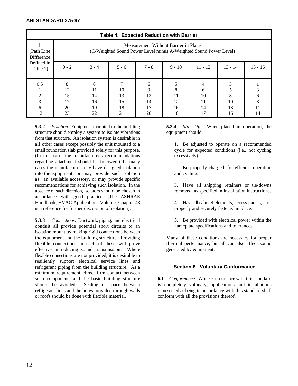| Table 4. Expected Reduction with Barrier |                                                                                                           |                                 |                            |                                |                      |                           |                          |                         |
|------------------------------------------|-----------------------------------------------------------------------------------------------------------|---------------------------------|----------------------------|--------------------------------|----------------------|---------------------------|--------------------------|-------------------------|
| (Path Line)<br>Difference                | Measurement Without Barrier in Place<br>(C-Weighted Sound Power Level minus A-Weighted Sound Power Level) |                                 |                            |                                |                      |                           |                          |                         |
| Defined in<br>Table 1)                   | $0 - 2$                                                                                                   | $3 - 4$                         | $5 - 6$                    | $7 - 8$                        | $9 - 10$             | $11 - 12$                 | $13 - 14$                | $15 - 16$               |
| 0.5<br>$\overline{2}$<br>3<br>6<br>12    | 8<br>12<br>15<br>17<br>20<br>23                                                                           | 8<br>11<br>14<br>16<br>19<br>22 | 10<br>13<br>15<br>18<br>21 | 6<br>9<br>12<br>14<br>17<br>20 | 11<br>12<br>16<br>18 | 6<br>10<br>11<br>14<br>17 | 3<br>8<br>10<br>13<br>16 | 3<br>6<br>8<br>11<br>14 |

**5.3.2** *Isolation*. Equipment mounted to the building **5.3.4** *Start-Up*. When placed in operation, the structure should employ a system to isolate vibrations equipment should: from that structure. An isolation system is desirable in all other cases except possibly the unit mounted to a 1. Be adjusted to operate on a recommended small foundation slab provided solely for this purpose. cycle for expected conditions (i.e., not cycling (In this case, the manufacturer's recommendations excessively). regarding attachment should be followed.) In many cases the manufacturer may have designed isolation 2. Be properly charged, for efficient operation into the equipment, or may provide such isolation and cycling. as an available accessory, or may provide specific recommendations for achieving such isolation. In the 3. Have all shipping retainers or tie-downs absence of such direction, isolators should be chosen in removed, as specified in installation instructions. accordance with good practice. (The ASHRAE Handbook, HVAC Applications Volume, Chapter 43 4. Have all cabinet elements, access panels, etc., is a reference for further discussion of isolation). properly and securely fastened in place.

**5.3.3** *Connections*. Ductwork, piping, and electrical conduit all provide potential short circuits to an isolation mount by making rigid connections between the equipment and the building structure. Providing flexible connections in each of these will prove effective in reducing sound transmission. Where flexible connections are not provided, it is desirable to resiliently support electrical service lines and refrigerant piping from the building structure. As a minimum requirement, direct firm contact between<br>such components and the basic building structure or roofs should be done with flexible material. conform with all the provisions thereof.

5. Be provided with electrical power within the nameplate specifications and tolerances.

Many of these conditions are necessary for proper thermal performance, but all can also affect sound generated by equipment.

#### **Section 6. Voluntary Conformance**

6.1 *Conformance*. While conformance with this standard should be avoided. Sealing of space between is completely volunary, applications and installations refrigerant lines and the holes provided through walls represented as being in accordance with this standard shall represented as being in accordance with this standard shall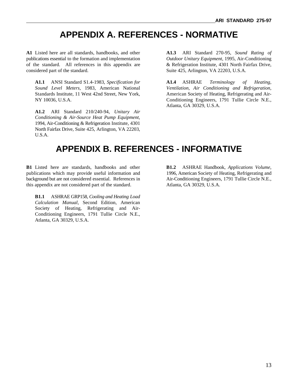### **APPENDIX A. REFERENCES - NORMATIVE**

**A1** Listed here are all standards, handbooks, and other **A1.3** ARI Standard 270-95, *Sound Rating of* publications essential to the formation and implementation *Outdoor Unitary Equipment*, 1995, Air-Conditioning of the standard. All references in this appendix are & Refrigeration Institute, 4301 North Fairfax Drive, considered part of the standard. Suite 425, Arlington, VA 22203, U.S.A.

**A1.1** ANSI Standard S1.4-1983, *Specification for* **A1.4** ASHRAE *Terminology of Heating, Sound Level Meters*, 1983, American National *Ventilation, Air Conditioning and Refrigeration*, Standards Institute, 11 West 42nd Street, New York, American Society of Heating, Refrigerating and Air-NY 10036, U.S.A. Conditioning Engineers, 1791 Tullie Circle N.E.,

**A1.2** ARI Standard 210/240-94, *Unitary Air Conditioning & Air-Source Heat Pump Equipment*, 1994, Air-Conditioning & Refrigeration Institute, 4301 North Fairfax Drive, Suite 425, Arlington, VA 22203, U.S.A.

Atlanta, GA 30329, U.S.A.

### **APPENDIX B. REFERENCES - INFORMATIVE**

**B1** Listed here are standards, handbooks and other **B1.2** ASHRAE Handbook, *Applications Volume*, publications which may provide useful information and 1996, American Society of Heating, Refrigerating and background but are not considered essential. References in Air-Conditioning Engineers, 1791 Tullie Circle N.E., this appendix are not considered part of the standard. Atlanta, GA 30329, U.S.A.

**B1.1** ASHRAE GRP158, *Cooling and Heating Load Calculation Manual*, Second Edition, American Society of Heating, Refrigerating and Air-Conditioning Engineers, 1791 Tullie Circle N.E., Atlanta, GA 30329, U.S.A.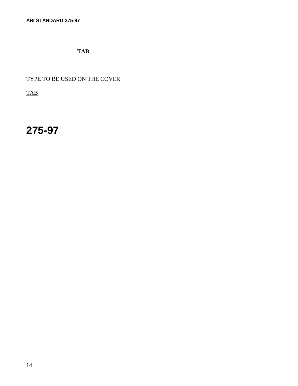**TAB**

TYPE TO BE USED ON THE COVER

**TAB** 

## **275-97**